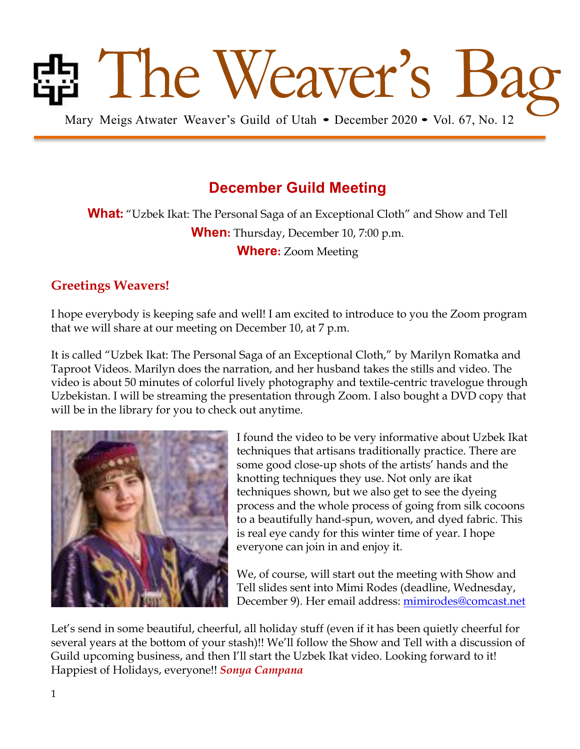# **Bang Mary Meigs Atwater Weaver's Guild of Utah • December 2020 • Vol. 67, No. 12**

## **December Guild Meeting**

**What:** "Uzbek Ikat: The Personal Saga of an Exceptional Cloth" and Show and Tell **When:** Thursday, December 10, 7:00 p.m. **Where:** Zoom Meeting

## **Greetings Weavers!**

I hope everybody is keeping safe and well! I am excited to introduce to you the Zoom program that we will share at our meeting on December 10, at 7 p.m.

It is called "Uzbek Ikat: The Personal Saga of an Exceptional Cloth," by Marilyn Romatka and Taproot Videos. Marilyn does the narration, and her husband takes the stills and video. The video is about 50 minutes of colorful lively photography and textile-centric travelogue through Uzbekistan. I will be streaming the presentation through Zoom. I also bought a DVD copy that will be in the library for you to check out anytime.



I found the video to be very informative about Uzbek Ikat techniques that artisans traditionally practice. There are some good close-up shots of the artists' hands and the knotting techniques they use. Not only are ikat techniques shown, but we also get to see the dyeing process and the whole process of going from silk cocoons to a beautifully hand-spun, woven, and dyed fabric. This is real eye candy for this winter time of year. I hope everyone can join in and enjoy it.

We, of course, will start out the meeting with Show and Tell slides sent into Mimi Rodes (deadline, Wednesday, December 9). Her email address: mimirodes@comcast.net

Let's send in some beautiful, cheerful, all holiday stuff (even if it has been quietly cheerful for several years at the bottom of your stash)!! We'll follow the Show and Tell with a discussion of Guild upcoming business, and then I'll start the Uzbek Ikat video. Looking forward to it! Happiest of Holidays, everyone!! *Sonya Campana*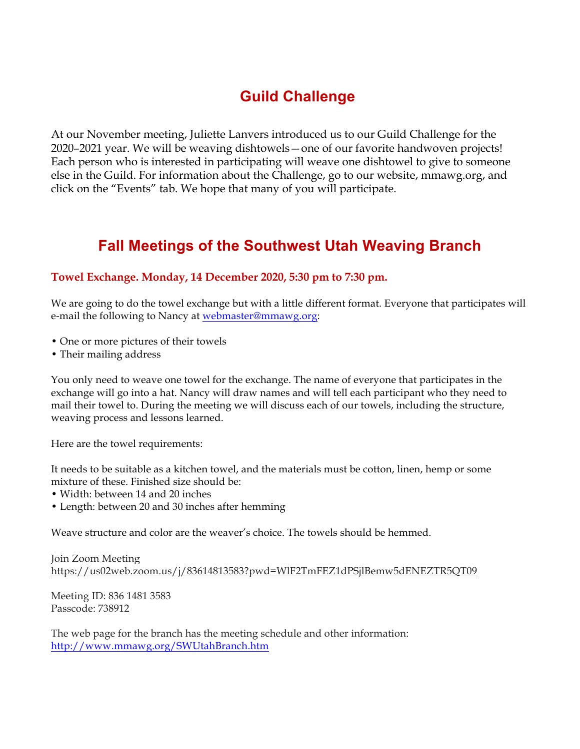## **Guild Challenge**

At our November meeting, Juliette Lanvers introduced us to our Guild Challenge for the 2020–2021 year. We will be weaving dishtowels—one of our favorite handwoven projects! Each person who is interested in participating will weave one dishtowel to give to someone else in the Guild. For information about the Challenge, go to our website, mmawg.org, and click on the "Events" tab. We hope that many of you will participate.

## **Fall Meetings of the Southwest Utah Weaving Branch**

### **Towel Exchange. Monday, 14 December 2020, 5:30 pm to 7:30 pm.**

We are going to do the towel exchange but with a little different format. Everyone that participates will e-mail the following to Nancy at webmaster@mmawg.org:

- One or more pictures of their towels
- Their mailing address

You only need to weave one towel for the exchange. The name of everyone that participates in the exchange will go into a hat. Nancy will draw names and will tell each participant who they need to mail their towel to. During the meeting we will discuss each of our towels, including the structure, weaving process and lessons learned.

Here are the towel requirements:

It needs to be suitable as a kitchen towel, and the materials must be cotton, linen, hemp or some mixture of these. Finished size should be:

- Width: between 14 and 20 inches
- Length: between 20 and 30 inches after hemming

Weave structure and color are the weaver's choice. The towels should be hemmed.

Join Zoom Meeting https://us02web.zoom.us/j/83614813583?pwd=WlF2TmFEZ1dPSjlBemw5dENEZTR5QT09

Meeting ID: 836 1481 3583 Passcode: 738912

The web page for the branch has the meeting schedule and other information: http://www.mmawg.org/SWUtahBranch.htm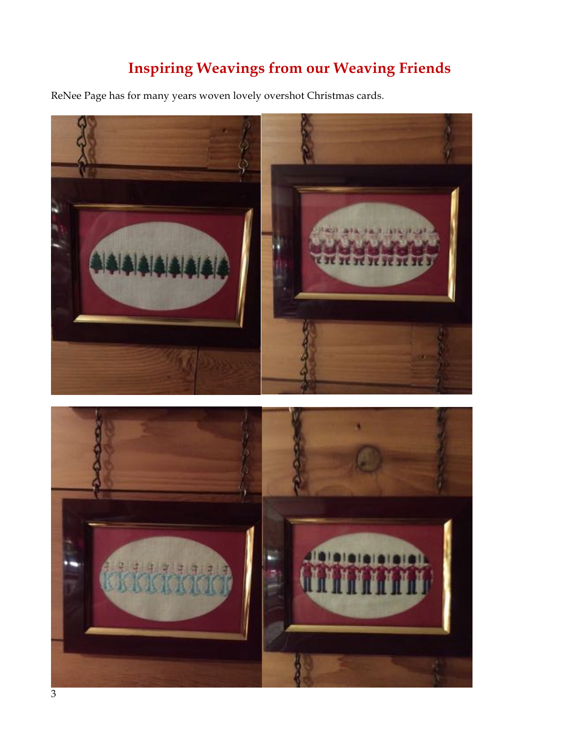## **Inspiring Weavings from our Weaving Friends**

ReNee Page has for many years woven lovely overshot Christmas cards.



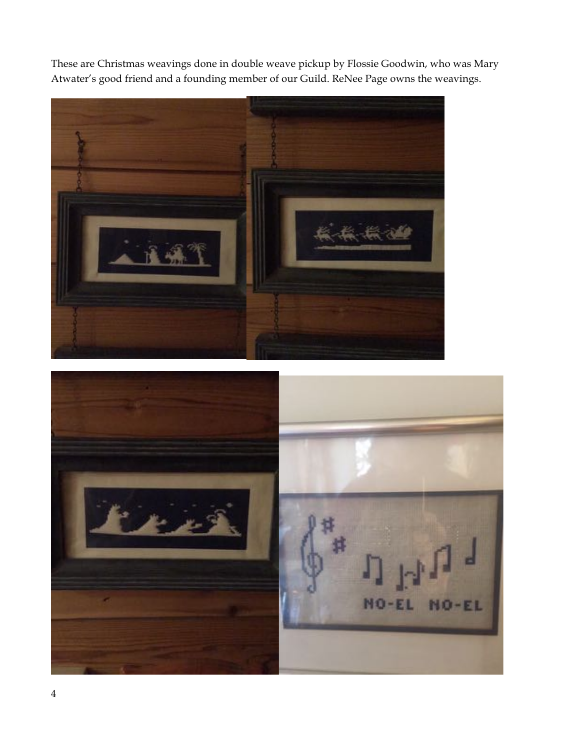These are Christmas weavings done in double weave pickup by Flossie Goodwin, who was Mary Atwater's good friend and a founding member of our Guild. ReNee Page owns the weavings.



NO-EL  $MO$ -EL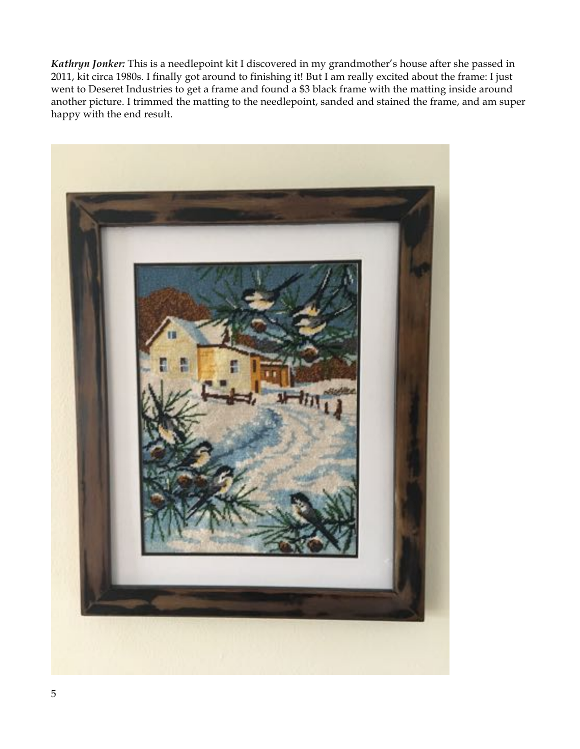*Kathryn Jonker:* This is a needlepoint kit I discovered in my grandmother's house after she passed in 2011, kit circa 1980s. I finally got around to finishing it! But I am really excited about the frame: I just went to Deseret Industries to get a frame and found a \$3 black frame with the matting inside around another picture. I trimmed the matting to the needlepoint, sanded and stained the frame, and am super happy with the end result.

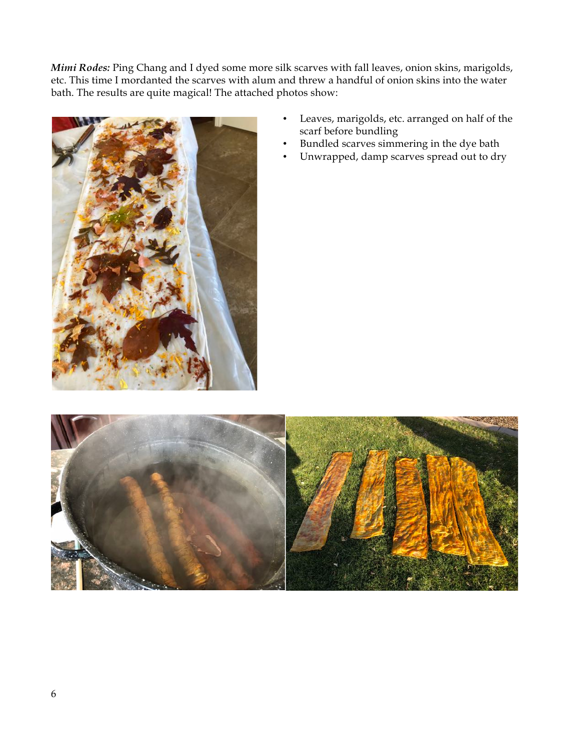*Mimi Rodes:* Ping Chang and I dyed some more silk scarves with fall leaves, onion skins, marigolds, etc. This time I mordanted the scarves with alum and threw a handful of onion skins into the water bath. The results are quite magical! The attached photos show:



- Leaves, marigolds, etc. arranged on half of the scarf before bundling
	- Bundled scarves simmering in the dye bath
	- Unwrapped, damp scarves spread out to dry

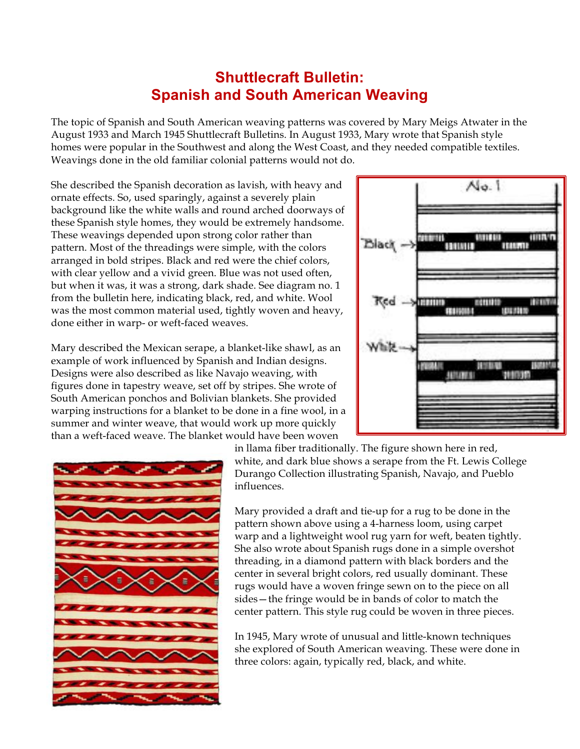## **Shuttlecraft Bulletin: Spanish and South American Weaving**

The topic of Spanish and South American weaving patterns was covered by Mary Meigs Atwater in the August 1933 and March 1945 Shuttlecraft Bulletins. In August 1933, Mary wrote that Spanish style homes were popular in the Southwest and along the West Coast, and they needed compatible textiles. Weavings done in the old familiar colonial patterns would not do.

She described the Spanish decoration as lavish, with heavy and ornate effects. So, used sparingly, against a severely plain background like the white walls and round arched doorways of these Spanish style homes, they would be extremely handsome. These weavings depended upon strong color rather than pattern. Most of the threadings were simple, with the colors arranged in bold stripes. Black and red were the chief colors, with clear yellow and a vivid green. Blue was not used often, but when it was, it was a strong, dark shade. See diagram no. 1 from the bulletin here, indicating black, red, and white. Wool was the most common material used, tightly woven and heavy, done either in warp- or weft-faced weaves.

Mary described the Mexican serape, a blanket-like shawl, as an example of work influenced by Spanish and Indian designs. Designs were also described as like Navajo weaving, with figures done in tapestry weave, set off by stripes. She wrote of South American ponchos and Bolivian blankets. She provided warping instructions for a blanket to be done in a fine wool, in a summer and winter weave, that would work up more quickly than a weft-faced weave. The blanket would have been woven





in llama fiber traditionally. The figure shown here in red, white, and dark blue shows a serape from the Ft. Lewis College Durango Collection illustrating Spanish, Navajo, and Pueblo influences.

Mary provided a draft and tie-up for a rug to be done in the pattern shown above using a 4-harness loom, using carpet warp and a lightweight wool rug yarn for weft, beaten tightly. She also wrote about Spanish rugs done in a simple overshot threading, in a diamond pattern with black borders and the center in several bright colors, red usually dominant. These rugs would have a woven fringe sewn on to the piece on all sides—the fringe would be in bands of color to match the center pattern. This style rug could be woven in three pieces.

In 1945, Mary wrote of unusual and little-known techniques she explored of South American weaving. These were done in three colors: again, typically red, black, and white.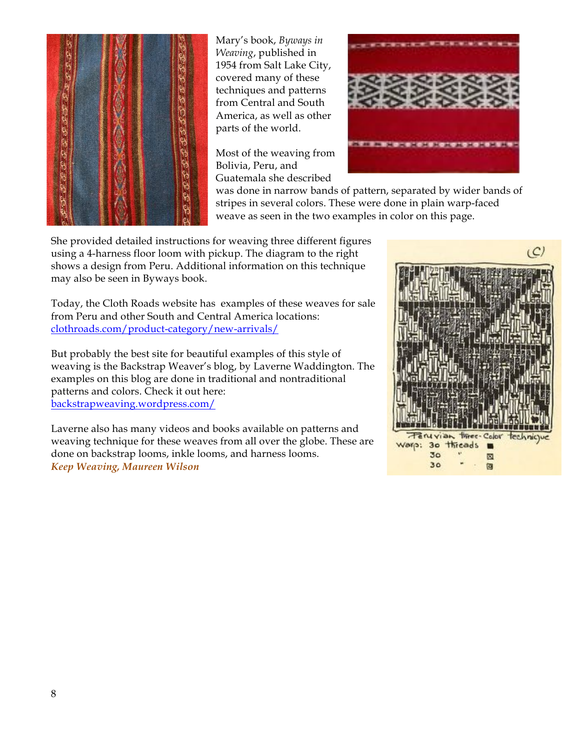

Mary's book, *Byways in Weaving*, published in 1954 from Salt Lake City, covered many of these techniques and patterns from Central and South America, as well as other parts of the world.

Most of the weaving from Bolivia, Peru, and Guatemala she described



was done in narrow bands of pattern, separated by wider bands of stripes in several colors. These were done in plain warp-faced weave as seen in the two examples in color on this page.

She provided detailed instructions for weaving three different figures using a 4-harness floor loom with pickup. The diagram to the right shows a design from Peru. Additional information on this technique may also be seen in Byways book.

Today, the Cloth Roads website has examples of these weaves for sale from Peru and other South and Central America locations: clothroads.com/product-category/new-arrivals/

But probably the best site for beautiful examples of this style of weaving is the Backstrap Weaver's blog, by Laverne Waddington. The examples on this blog are done in traditional and nontraditional patterns and colors. Check it out here: backstrapweaving.wordpress.com/

Laverne also has many videos and books available on patterns and weaving technique for these weaves from all over the globe. These are done on backstrap looms, inkle looms, and harness looms. *Keep Weaving, Maureen Wilson*

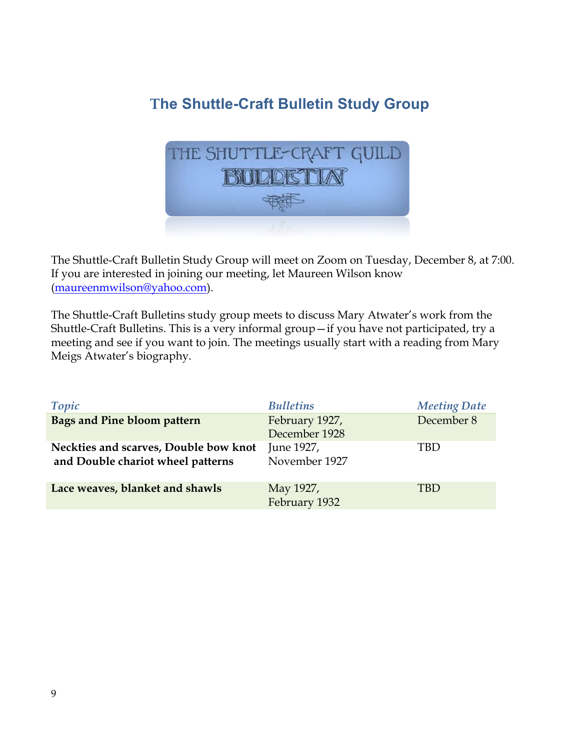## **The Shuttle-Craft Bulletin Study Group**



The Shuttle-Craft Bulletin Study Group will meet on Zoom on Tuesday, December 8, at 7:00. If you are interested in joining our meeting, let Maureen Wilson know (maureenmwilson@yahoo.com).

The Shuttle-Craft Bulletins study group meets to discuss Mary Atwater's work from the Shuttle-Craft Bulletins. This is a very informal group—if you have not participated, try a meeting and see if you want to join. The meetings usually start with a reading from Mary Meigs Atwater's biography.

| Topic                                                                      | <b>Bulletins</b>                | <b>Meeting Date</b> |
|----------------------------------------------------------------------------|---------------------------------|---------------------|
| Bags and Pine bloom pattern                                                | February 1927,<br>December 1928 | December 8          |
| Neckties and scarves, Double bow knot<br>and Double chariot wheel patterns | June 1927,<br>November 1927     | TBD                 |
| Lace weaves, blanket and shawls                                            | May 1927,<br>February 1932      | TBD                 |